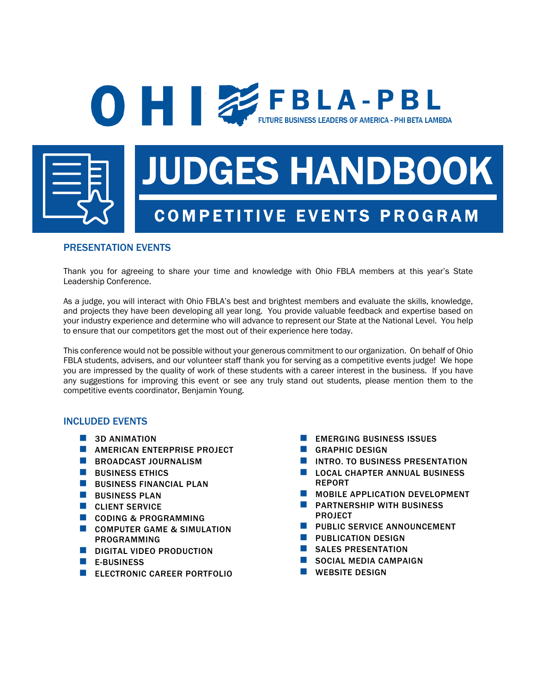

# JUDGES HANDBOOK

FUTURE BUSINESS LEADERS OF AMERICA - PHI BETA LAMBDA

## COMPETITIVE EVENTS PROGRAM

## PRESENTATION EVENTS

Thank you for agreeing to share your time and knowledge with Ohio FBLA members at this year's State Leadership Conference.

**O H EXPRESSIGNERS OF AMERICA - P B L** 

As a judge, you will interact with Ohio FBLA's best and brightest members and evaluate the skills, knowledge, and projects they have been developing all year long. You provide valuable feedback and expertise based on your industry experience and determine who will advance to represent our State at the National Level. You help to ensure that our competitors get the most out of their experience here today.

This conference would not be possible without your generous commitment to our organization. On behalf of Ohio FBLA students, advisers, and our volunteer staff thank you for serving as a competitive events judge! We hope you are impressed by the quality of work of these students with a career interest in the business. If you have any suggestions for improving this event or see any truly stand out students, please mention them to the competitive events coordinator, Benjamin Young.

## INCLUDED EVENTS

- **3D ANIMATION**
- **NEAMERICAN ENTERPRISE PROJECT**
- **BROADCAST JOURNALISM**
- **N** BUSINESS ETHICS
- **N** BUSINESS FINANCIAL PLAN
- $\blacksquare$  BUSINESS PLAN
- **N** CLIENT SERVICE
- n CODING & PROGRAMMING
- **COMPUTER GAME & SIMULATION** PROGRAMMING
- DIGITAL VIDEO PRODUCTION
- $F$ -BUSINESS
- **ELECTRONIC CAREER PORTFOLIO**
- $\blacksquare$  EMERGING BUSINESS ISSUES
- n GRAPHIC DESIGN
- INTRO. TO BUSINESS PRESENTATION
- LOCAL CHAPTER ANNUAL BUSINESS REPORT
- **NOBILE APPLICATION DEVELOPMENT**
- n PARTNERSHIP WITH BUSINESS PROJECT
- **NET PUBLIC SERVICE ANNOUNCEMENT**
- **N** PUBLICATION DESIGN
- SALES PRESENTATION
- SOCIAL MEDIA CAMPAIGN
- $\blacksquare$  WEBSITE DESIGN